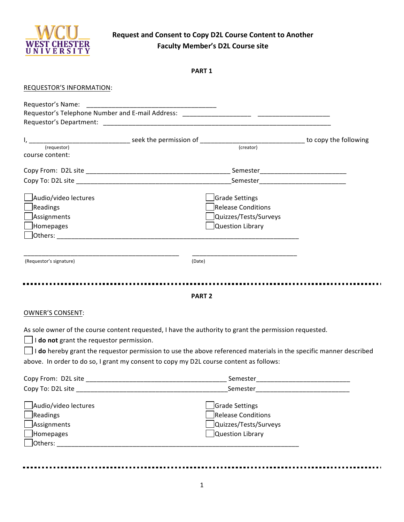

...........................

## **Request and Consent to Copy D2L Course Content to Another Faculty Member's D2L Course site**

|--|--|

| REQUESTOR'S INFORMATION:                                                                                                                           |                                                                                                    |  |
|----------------------------------------------------------------------------------------------------------------------------------------------------|----------------------------------------------------------------------------------------------------|--|
|                                                                                                                                                    |                                                                                                    |  |
|                                                                                                                                                    |                                                                                                    |  |
| (requestor)<br>course content:                                                                                                                     |                                                                                                    |  |
|                                                                                                                                                    |                                                                                                    |  |
|                                                                                                                                                    |                                                                                                    |  |
| Audio/video lectures<br>Readings<br>Assignments<br>Homepages<br>(Requestor's signature)                                                            | Grade Settings<br><b>Release Conditions</b><br>Quizzes/Tests/Surveys<br>Question Library<br>(Date) |  |
|                                                                                                                                                    | <b>PART 2</b>                                                                                      |  |
| <b>OWNER'S CONSENT:</b>                                                                                                                            |                                                                                                    |  |
| As sole owner of the course content requested, I have the authority to grant the permission requested.<br>I do not grant the requestor permission. |                                                                                                    |  |

I **do** hereby grant the requestor permission to use the above referenced materials in the specific manner described above. In order to do so, I grant my consent to copy my D2L course content as follows:

| Copy From: D2L site                                                                          | Semester                                                                          |  |
|----------------------------------------------------------------------------------------------|-----------------------------------------------------------------------------------|--|
| Copy To: D2L site                                                                            | Semester                                                                          |  |
| Audio/video lectures<br>$\Box$ Readings<br>$\Box$ Assignments<br>$\Box$ Homepages<br>Others: | Grade Settings<br>Release Conditions<br>Quizzes/Tests/Surveys<br>Question Library |  |
|                                                                                              |                                                                                   |  |

------------------

------------------

-------